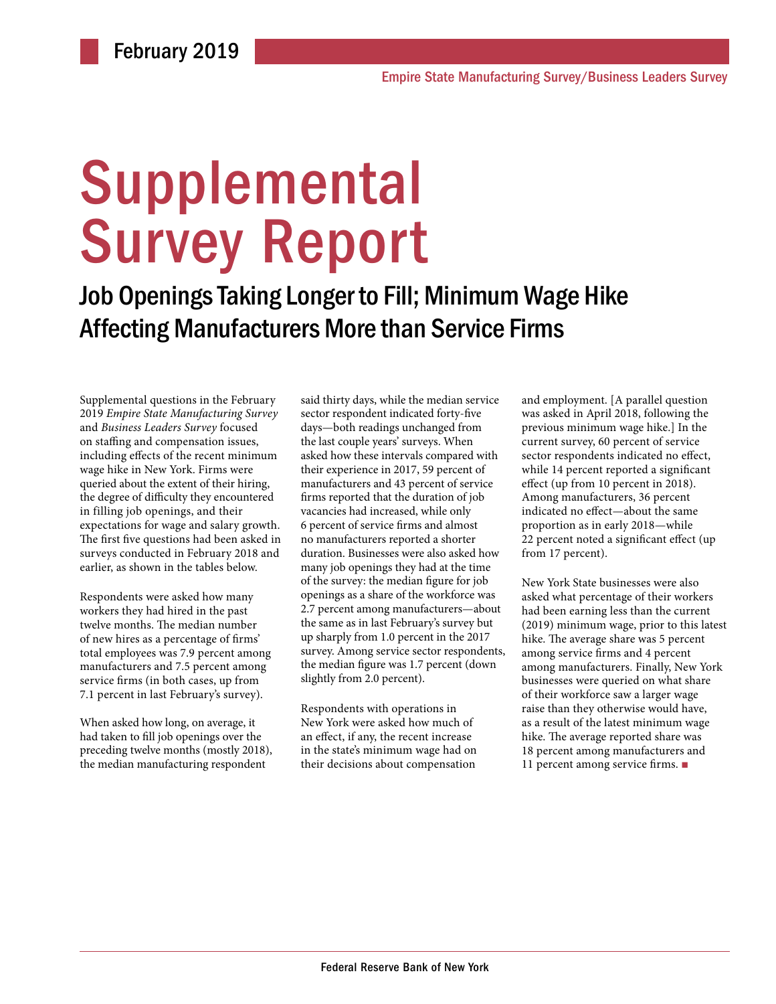# Supplemental Survey Report

Job Openings Taking Longer to Fill; Minimum Wage Hike Affecting Manufacturers More than Service Firms

Supplemental questions in the February 2019 *Empire State Manufacturing Survey* and *Business Leaders Survey* focused on staffing and compensation issues, including effects of the recent minimum wage hike in New York. Firms were queried about the extent of their hiring, the degree of difficulty they encountered in filling job openings, and their expectations for wage and salary growth. The first five questions had been asked in surveys conducted in February 2018 and earlier, as shown in the tables below.

Respondents were asked how many workers they had hired in the past twelve months. The median number of new hires as a percentage of firms' total employees was 7.9 percent among manufacturers and 7.5 percent among service firms (in both cases, up from 7.1 percent in last February's survey).

When asked how long, on average, it had taken to fill job openings over the preceding twelve months (mostly 2018), the median manufacturing respondent

said thirty days, while the median service sector respondent indicated forty-five days—both readings unchanged from the last couple years' surveys. When asked how these intervals compared with their experience in 2017, 59 percent of manufacturers and 43 percent of service firms reported that the duration of job vacancies had increased, while only 6 percent of service firms and almost no manufacturers reported a shorter duration. Businesses were also asked how many job openings they had at the time of the survey: the median figure for job openings as a share of the workforce was 2.7 percent among manufacturers—about the same as in last February's survey but up sharply from 1.0 percent in the 2017 survey. Among service sector respondents, the median figure was 1.7 percent (down slightly from 2.0 percent).

Respondents with operations in New York were asked how much of an effect, if any, the recent increase in the state's minimum wage had on their decisions about compensation

and employment. [A parallel question was asked in April 2018, following the previous minimum wage hike.] In the current survey, 60 percent of service sector respondents indicated no effect, while 14 percent reported a significant effect (up from 10 percent in 2018). Among manufacturers, 36 percent indicated no effect—about the same proportion as in early 2018—while 22 percent noted a significant effect (up from 17 percent).

New York State businesses were also asked what percentage of their workers had been earning less than the current (2019) minimum wage, prior to this latest hike. The average share was 5 percent among service firms and 4 percent among manufacturers. Finally, New York businesses were queried on what share of their workforce saw a larger wage raise than they otherwise would have, as a result of the latest minimum wage hike. The average reported share was 18 percent among manufacturers and 11 percent among service firms. ■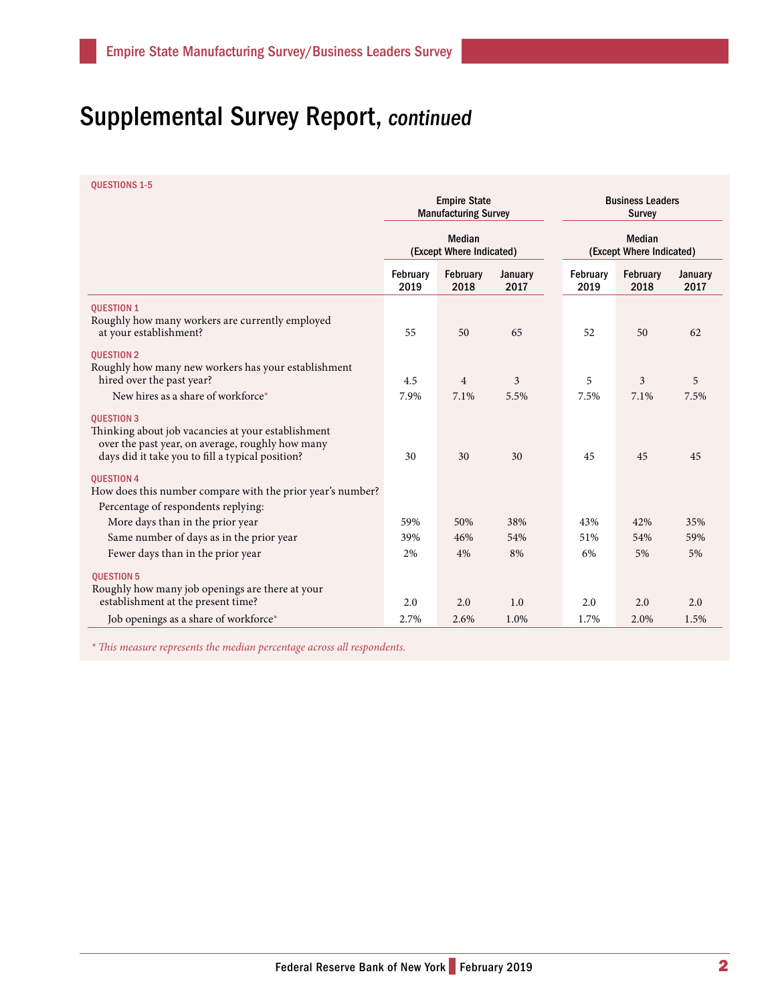## Supplemental Survey Report, continued

QUESTIONS 1-5

|                                                                                                                                                                                 | <b>Empire State</b><br><b>Manufacturing Survey</b><br><b>Median</b><br>(Except Where Indicated) |                        |                 | <b>Business Leaders</b><br><b>Survey</b><br><b>Median</b><br>(Except Where Indicated) |                        |                 |
|---------------------------------------------------------------------------------------------------------------------------------------------------------------------------------|-------------------------------------------------------------------------------------------------|------------------------|-----------------|---------------------------------------------------------------------------------------|------------------------|-----------------|
|                                                                                                                                                                                 |                                                                                                 |                        |                 |                                                                                       |                        |                 |
|                                                                                                                                                                                 | February<br>2019                                                                                | February<br>2018       | January<br>2017 | February<br>2019                                                                      | February<br>2018       | January<br>2017 |
| <b>QUESTION 1</b><br>Roughly how many workers are currently employed<br>at your establishment?                                                                                  | 55                                                                                              | 50                     | 65              | 52                                                                                    | 50                     | 62              |
| <b>QUESTION 2</b><br>Roughly how many new workers has your establishment<br>hired over the past year?<br>New hires as a share of workforce*                                     | 4.5<br>7.9%                                                                                     | $\overline{4}$<br>7.1% | 3<br>5.5%       | 5<br>7.5%                                                                             | $\overline{3}$<br>7.1% | 5<br>7.5%       |
| <b>QUESTION 3</b><br>Thinking about job vacancies at your establishment<br>over the past year, on average, roughly how many<br>days did it take you to fill a typical position? | 30                                                                                              | 30                     | 30              | 45                                                                                    | 45                     | 45              |
| <b>OUESTION 4</b><br>How does this number compare with the prior year's number?<br>Percentage of respondents replying:                                                          |                                                                                                 |                        |                 |                                                                                       |                        |                 |
| More days than in the prior year                                                                                                                                                | 59%                                                                                             | 50%                    | 38%             | 43%                                                                                   | 42%                    | 35%             |
| Same number of days as in the prior year                                                                                                                                        | 39%                                                                                             | 46%                    | 54%             | 51%                                                                                   | 54%                    | 59%             |
| Fewer days than in the prior year                                                                                                                                               | 2%                                                                                              | 4%                     | 8%              | 6%                                                                                    | 5%                     | 5%              |
| <b>QUESTION 5</b><br>Roughly how many job openings are there at your<br>establishment at the present time?                                                                      | 2.0                                                                                             | 2.0                    | 1.0             | 2.0                                                                                   | 2.0                    | 2.0             |
| Job openings as a share of workforce*                                                                                                                                           | 2.7%                                                                                            | 2.6%                   | 1.0%            | 1.7%                                                                                  | 2.0%                   | 1.5%            |

*\* This measure represents the median percentage across all respondents.*